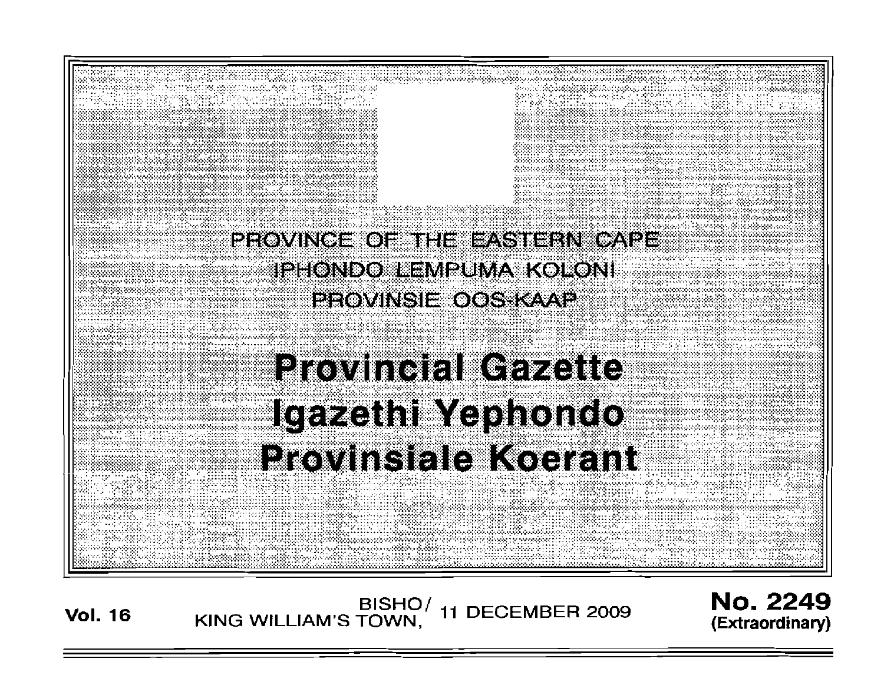

Vol. <sup>16</sup> BISHO/ KING WILLIAM'S TOWN, **11** DECEMBER 2009

No. 2249 **(Extraordinary)**